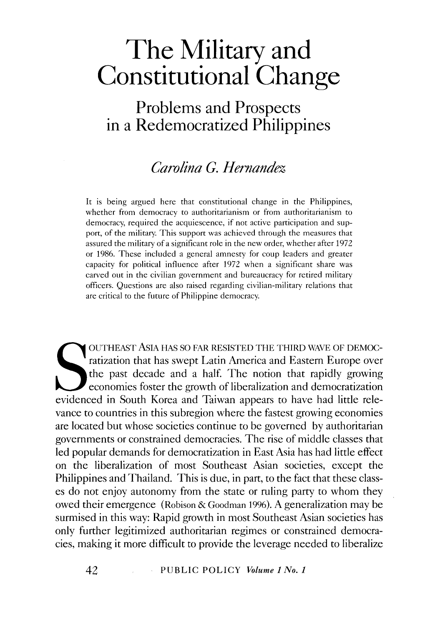**Problems and Prospects in a Redemocratized Philippines** 

# *Carolina G. Hernandez*

It is being argued here that constitutional change in the Philippines, whether from democracy to authoritarianism or from authoritarianism to democracy, required the acquiescence, if not active participation and support, of the military. This support was achieved through the measures that assured the military of a significant role in the new order, whether after 1972 or 1986. These included a general amnesty for coup leaders and greater capacity for political influence after 1972 when a significant share was carved out in the civilian government and bureaucracy for retired military officers. Questions are also raised regarding civilian-military relations that are critical to the future of Philippine democracy.

OUTHEAST ASIA HAS SO FAR RESISTED THE THIRD WAVE OF DEMOC-<br>ratization that has swept Latin America and Eastern Europe over<br>the past decade and a half. The notion that rapidly growing<br>economies foster the growth of liberali OUTHEAST AsiA HAS SO FAR RESISTED THE THIRD WAVE OF DEMOCratization that has swept Latin America and Eastern Europe over the past decade and a half. The notion that rapidly growing economies foster the growth of liberalization and democratization vance to countries in this subregion where the fastest growing economies are located but whose societies continue to be governed by authoritarian governments or constrained democracies. The rise of middle classes that led popular demands for democratization in East Asia has had little effect on the liberalization of most Southeast Asian societies, except the Philippines and Thailand. This is due, in part, to the fact that these classes do not enjoy autonomy from the state or ruling party to whom they owed their emergence (Robison & Goodman 1996). A generalization may be surmised in this way: Rapid growth in most Southeast Asian societies has only further legitimized authoritarian regimes or constrained democracies, making it more difficult to provide the leverage needed to liberalize

42 PUBLIC POLICY *Volume 1 No. 1*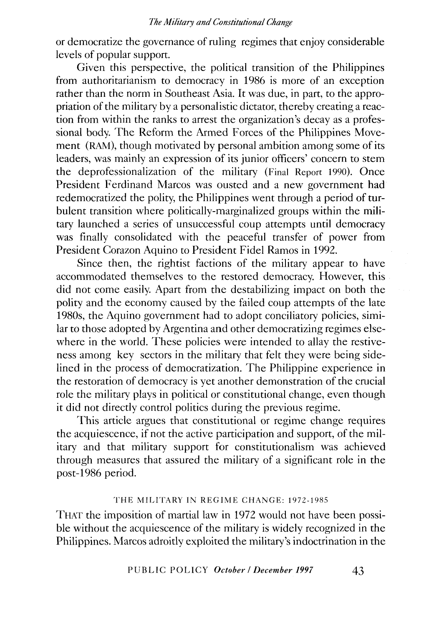or democratize the governance of ruling regimes that enjoy considerable levels of popular support.

Given this perspective, the political transition of the Philippines from authoritarianism to democracy in 1986 is more of an exception rather than the norm in Southeast Asia. It was due, in part, to the appropriation of the military by a personalistic dictator, thereby creating a reaction from within the ranks to arrest the organization's decay as a professional body. The Reform the Armed Forces of the Philippines Movement (RAM), though motivated by personal ambition among some of its leaders, was mainly an expression of its junior officers' concern to stem the deprofessionalization of the military (Final Report 1990). Once President Ferdinand Marcos was ousted and a new government had redemocratized the polity, the Philippines went through a period of turbulent transition where politically-marginalized groups within the military launched a series of unsuccessful coup attempts until democracy was finally consolidated with the peaceful transfer of power from President Corazon Aquino to President Fidel Ramos in 1992.

Since then, the rightist factions of the military appear to have accommodated themselves to the restored democracy. However, this did not come easily. Apart from the destabilizing impact on both the polity and the economy caused by the failed coup attempts of the late 1980s, the Aquino government had to adopt conciliatory policies, similar to those adopted by Argentina and other democratizing regimes elsewhere in the world. These policies were intended to allay the restiveness among key sectors in the military that felt they were being sidelined in the process of democratization. The Philippine experience in the restoration of democracy is yet another demonstration of the crucial role the military plays in political or constitutional change, even though it did not directly control politics during the previous regime.

This article argues that constitutional or regime change requires the acquiescence, if not the active participation and support, of the military and that military support for constitutionalism was achieved through measures that assured the military of a significant role in the post-1986 period.

# THE MILITARY IN REGIME CHANGE: 1972-1985

THAT the imposition of martial law in 1972 would not have been possible without the acquiescence of the military is widely recognized in the Philippines. Marcos adroitly exploited the military's indoctrination in the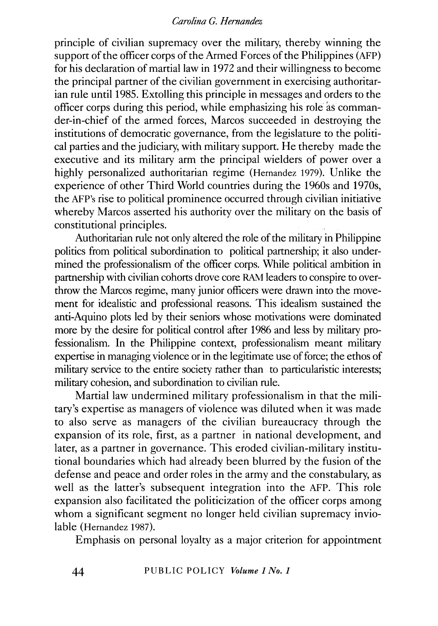principle of civilian supremacy over the military, thereby winning the support of the officer corps of the Armed Forces of the Philippines (AFP) for his declaration of martial law in 1972 and their willingness to become the principal partner of the civilian government in exercising authoritarian rule until 1985. Extolling this principle in messages and orders to the officer corps during this period, while emphasizing his role as commander-in-chief of the armed forces, Marcos succeeded in destroying the institutions of democratic governance, from the legislature to the political parties and the judiciary, with military support. He thereby made the executive and its military arm the principal wielders of power over a highly personalized authoritarian regime (Hernandez 1979). Unlike the experience of other Third World countries during the 1960s and 1970s, the AFP's rise to political prominence occurred through civilian initiative whereby Marcos asserted his authority over the military on the basis of constitutional principles.

Authoritarian rule not only altered the role of the military in Philippine politics from political subordination to political partnership; it also undermined the professionalism of the officer corps. While political ambition in partnership with civilian cohorts drove core RAM leaders to conspire to overthrow the Marcos regime, many junior officers were drawn into the movement for idealistic and professional reasons. This idealism sustained the anti-Aquino plots led by their seniors whose motivations were dominated more by the desire for political control after 1986 and less by military professionalism. In the Philippine context, professionalism meant military expertise in managing violence or in the legitimate use of force; the ethos of military service to the entire society rather than to particularistic interests; military cohesion, and subordination to civilian rule.

Martial law undermined military professionalism in that the military's expertise as managers of violence was diluted when it was made to also serve as managers of the civilian bureaucracy through the expansion of its role, first, as a partner in national development, and later, as a partner in governance. This eroded civilian-military institutional boundaries which had already been blurred by the fusion of the defense and peace and order roles in the army and the constabulary, as well as the latter's subsequent integration into the AFP. This role expansion also facilitated the politicization of the officer corps among whom a significant segment no longer held civilian supremacy inviolable (Hernandez 1987).

Emphasis on personal loyalty as a major criterion for appointment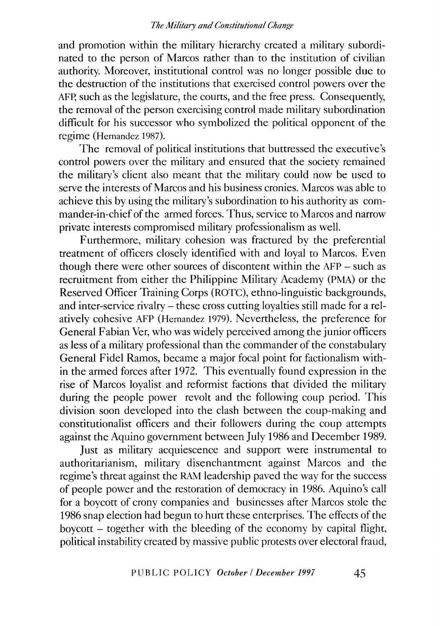and promotion within the military hierarchy created a military subordinated to the person of Marcos rather than to the institution of civilian authority. Moreover, institutional control was no longer possible due to the destruction of the institutions that exercised control powers over the AFP, such as the legislature, the courts, and the free press. Consequently, the removal of the person exercising control made military subordination difficult for his successor who symbolized the political opponent of the regime (Hernandez 1987).

The removal of political institutions that buttressed the executive's control powers over the military and ensured that the society remained the military's client also meant that the military could now be used to serve the interests of Marcos and his business cronies. Marcos was able to achieve this by using the military's subordination to his authority as commander-in-chief of the armed forces. Thus, service to Marcos and narrow private interests compromised military professionalism as well.

Furthermore, military cohesion was fractured by the preferential treatment of officers closely identified with and loyal to Marcos. Even though there were other sources of discontent within the AFP - such as recruitment from either the Philippine Military Academy (PMA) or the Reserved Officer Training Corps (ROTC), ethno-linguistic backgrounds, and inter-service rivalry- these cross cutting loyalties still made for a relatively cohesive AFP (Hernandez 1979). Nevertheless, the preference for General Fabian Ver, who was widely perceived among the junior officers as less of a military professional than the commander of the constabulary General Fidel Ramos, became a major focal point for factionalism within the armed forces after 1972. This eventually found expression in the rise of Marcos loyalist and reformist factions that divided the military during the people power revolt and the following coup period. This division soon developed into the clash between the coup-making and constitutionalist officers and their followers during the coup attempts against the Aquino government between July 1986 and December 1989.

Just as military acquiescence and support were instrumental to authoritarianism, military disenchantment against Marcos and the regime's threat against the RAM leadership paved the way for the success of people power and the restoration of democracy in 1986. Aquino's call for a boycott of crony companies and businesses after Marcos stole the 1986 snap election had begun to hurt these enterprises. The effects of the boycott - together with the bleeding of the economy by capital flight, political instability created by massive public protests over electoral fraud,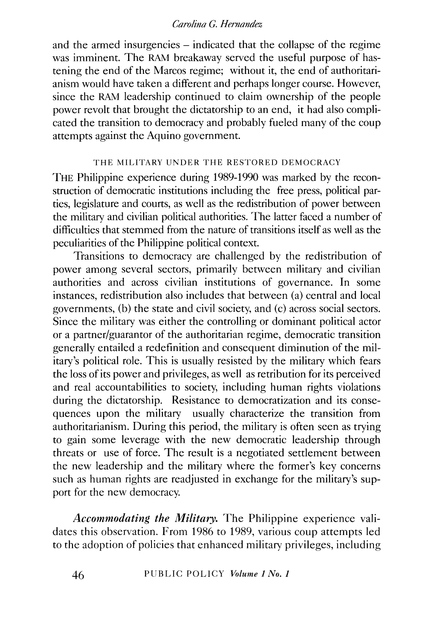and the armed insurgencies – indicated that the collapse of the regime was imminent. The RAM breakaway served the useful purpose of hastening the end of the Marcos regime; without it, the end of authoritarianism would have taken a different and perhaps longer course. However, since the RAM leadership continued to claim ownership of the people power revolt that brought the dictatorship to an end, it had also complicated the transition to democracy and probably fueled many of the coup attempts against the Aquino government.

# THE MILITARY UNDER THE RESTORED DEMOCRACY

THE Philippine experience during 1989-1990 was marked by the reconstruction of democratic institutions including the free press, political parties, legislature and courts, as well as the redistribution of power between the military and civilian political authorities. The latter faced a number of difficulties that stemmed from the nature of transitions itself as well as the peculiarities of the Philippine political context.

Transitions to democracy are challenged by the redistribution of power among several sectors, primarily between military and civilian authorities and across civilian institutions of governance. In some instances, redistribution also includes that between (a) central and local governments, (b) the state and civil society, and (c) across social sectors. Since the military was either the controlling or dominant political actor or a partner/guarantor of the authoritarian regime, democratic transition generally entailed a redefinition and consequent diminution of the military's political role. This is usually resisted by the military which fears the loss of its power and privileges, as well as retribution for its perceived and real accountabilities to society, including human rights violations during the dictatorship. Resistance to democratization and its consequences upon the military usually characterize the transition from authoritarianism. During this period, the military is often seen as trying to gain some leverage with the new democratic leadership through threats or use of force. The result is a negotiated settlement between the new leadership and the military where the former's key concerns such as human rights are readjusted in exchange for the military's support for the new democracy.

*Accommodating the Military.* The Philippine experience validates this observation. From 1986 to 1989, various coup attempts led to the adoption of policies that enhanced military privileges, including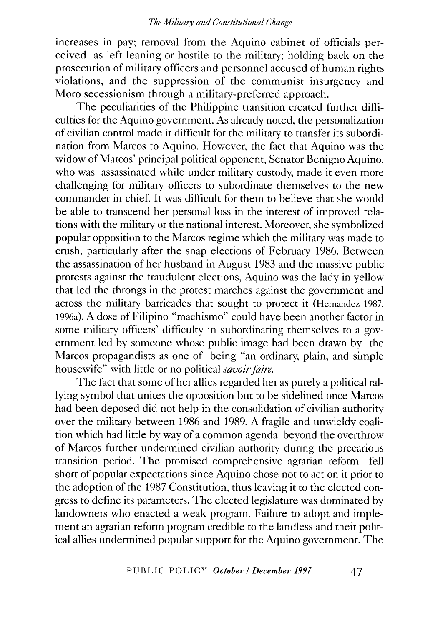increases in pay; removal from the Aquino cabinet of officials perceived as left-leaning or hostile to the military; holding back on the prosecution of military officers and personnel accused of human rights violations, and the suppression of the communist insurgency and Mora secessionism through a military-preferred approach.

The peculiarities of the Philippine transition created further difficulties for the Aquino government. As already noted, the personalization of civilian control made it difficult for the military to transfer its subordination from Marcos to Aquino. However, the fact that Aquino was the widow of Marcos' principal political opponent, Senator Benigno Aquino, who was assassinated while under military custody, made it even more challenging for military officers to subordinate themselves to the new commander-in-chief. It was difficult for them to believe that she would be able to transcend her personal loss in the interest of improved relations with the military or the national interest. Moreover, she symbolized popular opposition to the Marcos regime which the military was made to crush, particularly after the snap elections of February 1986. Between the assassination of her husband in August 1983 and the massive public protests against the fraudulent elections, Aquino was the lady in yellow that led the throngs in the protest marches against the government and across the military barricades that sought to protect it (Hernandez 1987, 1996a). A dose of Filipino "machismo" could have been another factor in some military officers' difficulty in subordinating themselves to a government led by someone whose public image had been drawn by the Marcos propagandists as one of being "an ordinary, plain, and simple housewife" with little or no political *savoir faire.* 

The fact that some of her allies regarded her as purely a political rallying symbol that unites the opposition but to be sidelined once Marcos had been deposed did not help in the consolidation of civilian authority over the military between 1986 and 1989. A fragile and unwieldy coalition which had little by way of a common agenda beyond the overthrow of Marcos further undermined civilian authority during the precarious transition period. The promised comprehensive agrarian reform fell short of popular expectations since Aquino chose not to act on it prior to the adoption of the 1987 Constitution, thus leaving it to the elected congress to define its parameters. The elected legislature was dominated by landowners who enacted a weak program. Failure to adopt and implement an agrarian reform program credible to the landless and their political allies undermined popular support for the Aquino government. The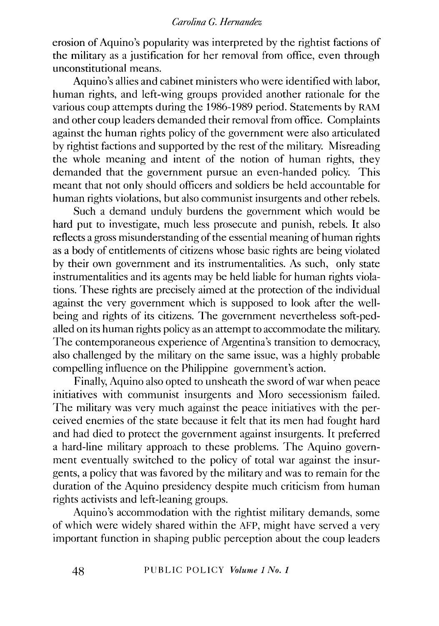erosion of Aquino's popularity was interpreted by the rightist factions of the military as a justification for her removal from office, even through unconstitutional means.

Aquino's allies and cabinet ministers who were identified with labor, human rights, and left-wing groups provided another rationale for the various coup attempts during the 1986-1989 period. Statements by RAM and other coup leaders demanded their removal from office. Complaints against the human rights policy of the government were also articulated by rightist factions and supported by the rest of the military. Misreading the whole meaning and intent of the notion of human rights, they demanded that the government pursue an even-handed policy. This meant that not only should officers and soldiers be held accountable for human rights violations, but also communist insurgents and other rebels.

Such a demand unduly burdens the government which would be hard put to investigate, much less prosecute and punish, rebels. It also reflects a gross misunderstanding of the essential meaning of human rights as a body of entitlements of citizens whose basic rights are being violated by their own government and its instrumentalities. As such, only state instrumentalities and its agents may be held liable for human rights violations. These rights are precisely aimed at the protection of the individual against the very government which is supposed to look after the wellbeing and rights of its citizens. The government nevertheless soft-pedalled on its human rights policy as an attempt to accommodate the military. The contemporaneous experience of Argentina's transition to democracy, also challenged by the military on the same issue, was a highly probable compelling influence on the Philippine government's action.

Finally, Aquino also opted to unsheath the sword of war when peace initiatives with communist insurgents and Moro secessionism failed. The military was very much against the peace initiatives with the perceived enemies of the state because it felt that its men had fought hard and had died to protect the government against insurgents. It preferred a hard-line military approach to these problems. The Aquino government eventually switched to the policy of total war against the insurgents, a policy that was favored by the military and was to remain for the duration of the Aquino presidency despite much criticism from human rights activists and left-leaning groups.

Aquino's accommodation with the rightist military demands, some of which were widely shared within the AFP, might have served a very important function in shaping public perception about the coup leaders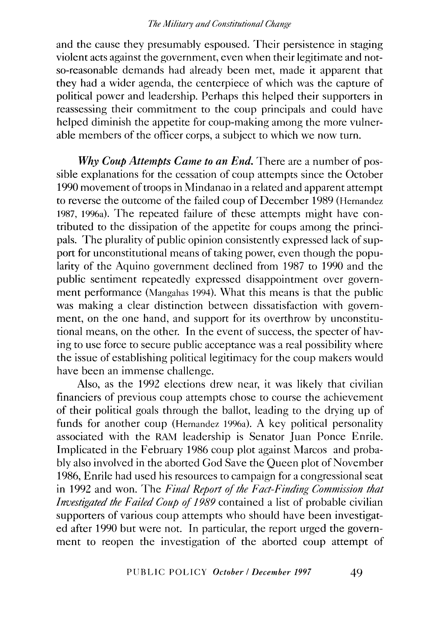and the cause they presumably espoused. Their persistence in staging violent acts against the government, even when their legitimate and notso-reasonable demands had already been met, made it apparent that they had a wider agenda, the centerpiece of which was the capture of political power and leadership. Perhaps this helped their supporters in reassessing their commitment to the coup principals and could have helped diminish the appetite for coup-making among the more vulnerable members of the officer corps, a subject to which we now turn.

*Why Coup Attempts Came to an End.* There are a number of possible explanations for the cessation of coup attempts since the October 1990 movement of troops in Mindanao in a related and apparent attempt to reverse the outcome of the failed coup of December 1989 (Hernandez 1987, 1996a). The repeated failure of these attempts might have contributed to the dissipation of the appetite for coups among the principals. The plurality of public opinion consistently expressed lack of support for unconstitutional means of taking power, even though the popularity of the Aquino government declined from 1987 to 1990 and the public sentiment repeatedly expressed disappointment over government performance (Mangahas 1994). What this means is that the public was making a clear distinction between dissatisfaction with government, on the one hand, and support for its overthrow by unconstitutional means, on the other. In the event of success, the specter of having to use force to secure public acceptance was a real possibility where the issue of establishing political legitimacy for the coup makers would have been an immense challenge.

Also, as the 1992 elections drew near, it was likely that civilian financiers of previous coup attempts chose to course the achievement of their political goals through the ballot, leading to the drying up of funds for another coup (Hernandez 1996a). A key political personality associated with the RAM leadership is Senator Juan Ponce Emile. Implicated in the February 1986 coup plot against Marcos and probably also involved in the aborted God Save the Queen plot of November 1986, Emile had used his resources to campaign for a congressional seat in 1992 and won. The *Final Report of the Fact-Finding Commission that Investigated the Failed Coup of 1989* contained a list of probable civilian supporters of various coup attempts who should have been investigated after 1990 but were not. In particular, the report urged the government to reopen the investigation of the aborted coup attempt of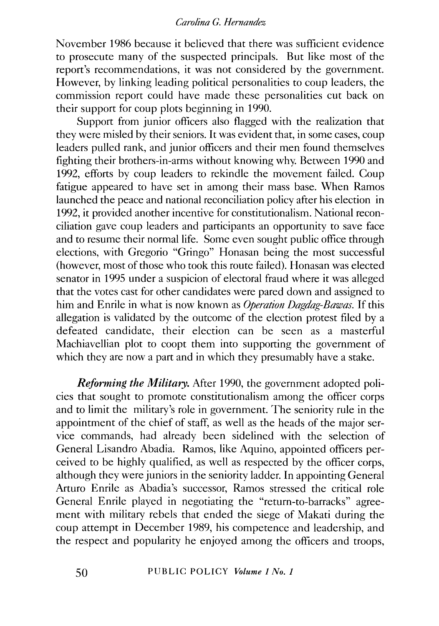November 1986 because it believed that there was sufficient evidence to prosecute many of the suspected principals. But like most of the report's recommendations, it was not considered by the government. However, by linking leading political personalities to coup leaders, the commission report could have made these personalities cut back on their support for coup plots beginning in 1990.

Support from junior officers also flagged with the realization that they were misled by their seniors. It was evident that, in some cases, coup leaders pulled rank, and junior officers and their men found themselves fighting their brothers-in-arms without knowing why. Between 1990 and 1992, efforts by coup leaders to rekindle the movement failed. Coup fatigue appeared to have set in among their mass base. When Ramos launched the peace and national reconciliation policy after his election in 1992, it provided another incentive for constitutionalism. National reconciliation gave coup leaders and participants an opportunity to save face and to resume their normal life. Some even sought public office through elections, with Gregorio "Gringo" Honasan being the most successful (however, most of those who took this route failed). Honasan was elected senator in 1995 under a suspicion of electoral fraud where it was alleged that the votes cast for other candidates were pared down and assigned to him and Emile in what is now known as *Operation Dagdag-Bawas.* If this allegation is validated by the outcome of the election protest filed by a defeated candidate, their election can be seen as a masterful Machiavellian plot to coopt them into supporting the government of which they are now a part and in which they presumably have a stake.

*Reforming the Military.* After 1990, the government adopted policies that sought to promote constitutionalism among the officer corps and to limit the military's role in government. The seniority rule in the appointment of the chief of staff, as well as the heads of the major service commands, had already been sidelined with the selection of General Lisandro Abadia. Ramos, like Aquino, appointed officers perceived to be highly qualified, as well as respected by the officer corps, although they were juniors in the seniority ladder. In appointing General Arturo Emile as Abadia's successor, Ramos stressed the critical role General Emile played in negotiating the "return-to-barracks" agreement with military rebels that ended the siege of Makati during the coup attempt in December 1989, his competence and leadership, and the respect and popularity he enjoyed among the officers and troops,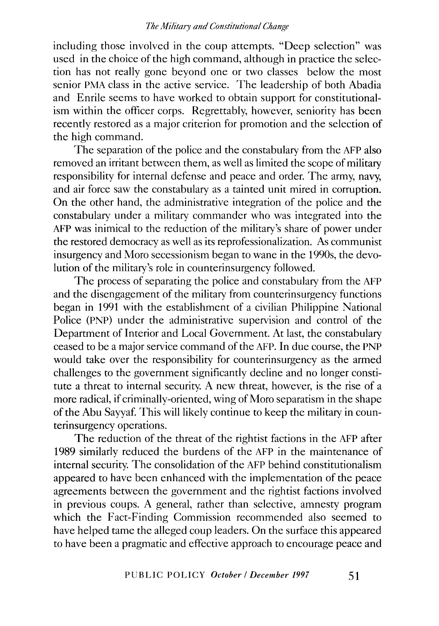including those involved in the coup attempts. "Deep selection" was used in the choice of the high command, although in practice the selection has not really gone beyond one or two classes below the most senior PMA class in the active service. The leadership of both Abadia and Enrile seems to have worked to obtain support for constitutionalism within the officer corps. Regrettably, however, seniority has been recently restored as a major criterion for promotion and the selection of the high command.

The separation of the police and the constabulary from the AFP also removed an irritant between them, as well as limited the scope of military responsibility for internal defense and peace and order. The army, navy, and air force saw the constabulary as a tainted unit mired in corruption. On the other hand, the administrative integration of the police and the constabulary under a military commander who was integrated into the AFP was inimical to the reduction of the military's share of power under the restored democracy as well as its reprofessionalization. As communist insurgency and Moro secessionism began to wane in the 1990s, the devolution of the military's role in counterinsurgency followed.

The process of separating the police and constabulary from the AFP and the disengagement of the military from counterinsurgency functions began in 1991 with the establishment of a civilian Philippine National Police (PNP) under the administrative supervision and control of the Department of Interior and Local Government. At last, the constabulary ceased to be a major service command of the AFP. In due course, the PNP would take over the responsibility for counterinsurgency as the armed challenges to the government significantly decline and no longer constitute a threat to internal security. A new threat, however, is the rise of a more radical, if criminally-oriented, wing of Moro separatism in the shape of the Abu Sayyaf. This will likely continue to keep the military in counterinsurgency operations.

The reduction of the threat of the rightist factions in the AFP after 1989 similarly reduced the burdens of the AFP in the maintenance of internal security. The consolidation of the AFP behind constitutionalism appeared to have been enhanced with the implementation of the peace agreements between the government and the rightist factions involved in previous coups. A general, rather than selective, amnesty program which the Fact-Finding Commission recommended also seemed to have helped tame the alleged coup leaders. On the surface this appeared to have been a pragmatic and effective approach to encourage peace and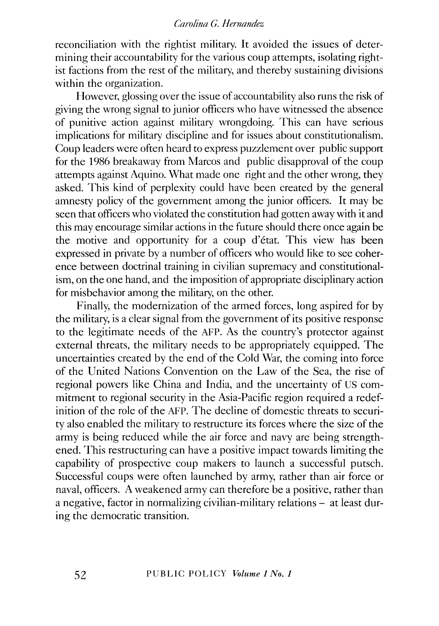reconciliation with the rightist military. It avoided the issues of determining their accountability for the various coup attempts, isolating rightist factions from the rest of the military, and thereby sustaining divisions within the organization.

However, glossing over the issue of accountability also runs the risk of giving the wrong signal to junior officers who have witnessed the absence of punitive action against military wrongdoing. This can have serious implications for military discipline and for issues about constitutionalism. Coup leaders were often heard to express puzzlement over public support for the 1986 breakaway from Marcos and public disapproval of the coup attempts against Aquino. What made one right and the other wrong, they asked. This kind of perplexity could have been created by the general amnesty policy of the government among the junior officers. It may be seen that officers who violated the constitution had gotten away with it and this may encourage similar actions in the future should there once again be the motive and opportunity for a coup d'etat. This view has been expressed in private by a number of officers who would like to see coherence between doctrinal training in civilian supremacy and constitutionalism, on the one hand, and the imposition of appropriate disciplinary action for misbehavior among the military, on the other.

Finally, the modernization of the armed forces, long aspired for by the military, is a clear signal from the government of its positive response to the legitimate needs of the AFP. As the country's protector against external threats, the military needs to be appropriately equipped. The uncertainties created by the end of the Cold War, the coming into force of the United Nations Convention on the Law of the Sea, the rise of regional powers like China and India, and the uncertainty of US commitment to regional security in the Asia-Pacific region required a redefinition of the role of the AFP. The decline of domestic threats to security also enabled the military to restructure its forces where the size of the army is being reduced while the air force and navy are being strengthened. This restructuring can have a positive impact towards limiting the capability of prospective coup makers to launch a successful putsch. Successful coups were often launched by army, rather than air force or naval, officers. A weakened army can therefore be a positive, rather than a negative, factor in normalizing civilian-military relations- at least during the democratic transition.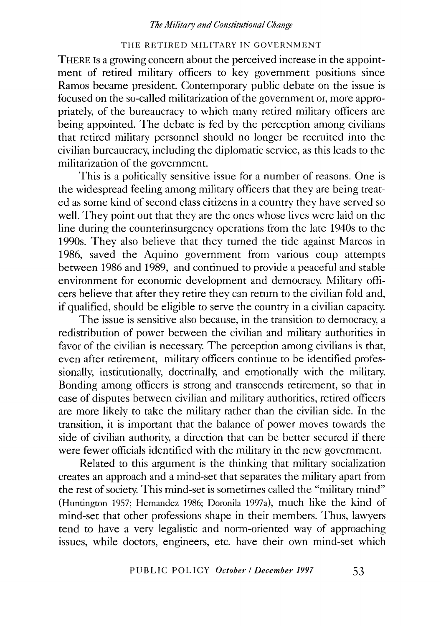#### THE RETIRED MILITARY IN GOVERNMENT

THERE Is a growing concern about the perceived increase in the appointment of retired military officers to key government positions since Ramos became president. Contemporary public debate on the issue is focused on the so-called militarization of the government or, more appropriately, of the bureaucracy to which many retired military officers are being appointed. The debate is fed by the perception among civilians that retired military personnel should no longer be recruited into the civilian bureaucracy, including the diplomatic service, as this leads to the militarization of the government.

This is a politically sensitive issue for a number of reasons. One is the widespread feeling among military officers that they are being treated as some kind of second class citizens in a country they have served so well. They point out that they are the ones whose lives were laid on the line during the counterinsurgency operations from the late 1940s to the 1990s. They also believe that they turned the tide against Marcos in 1986, saved the Aquino government from various coup attempts between 1986 and 1989, and continued to provide a peaceful and stable environment for economic development and democracy. Military officers believe that after they retire they can return to the civilian fold and, if qualified, should be eligible to serve the country in a civilian capacity.

The issue is sensitive also because, in the transition to democracy, a redistribution of power between the civilian and military authorities in favor of the civilian is necessary. The perception among civilians is that, even after retirement, military officers continue to be identified professionally, institutionally, doctrinally, and emotionally with the military. Bonding among officers is strong and transcends retirement, so that in case of disputes between civilian and military authorities, retired officers are more likely to take the military rather than the civilian side. In the transition, it is important that the balance of power moves towards the side of civilian authority, a direction that can be better secured if there were fewer officials identified with the military in the new government.

Related to this argument is the thinking that military socialization creates an approach and a mind-set that separates the military apart from the rest of society. This mind-set is sometimes called the "military mind" (Huntington 1957; Hernandez 1986; Doronila 1997a), much like the kind of mind-set that other professions shape in their members. Thus, lawyers tend to have a very legalistic and norm-oriented way of approaching issues, while doctors, engineers, etc. have their own mind-set which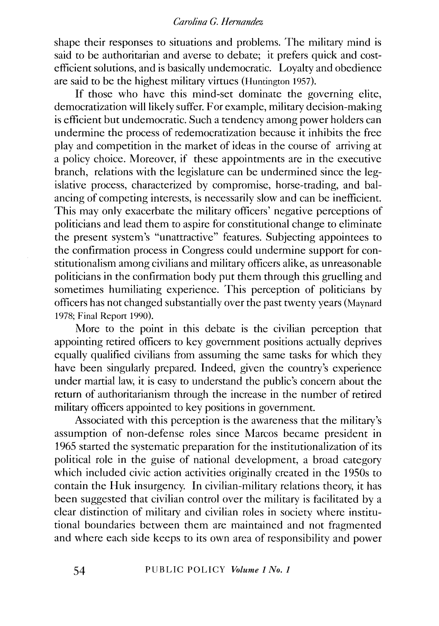shape their responses to situations and problems. The military mind is said to be authoritarian and averse to debate; it prefers quick and costefficient solutions, and is basically undemocratic. Loyalty and obedience are said to be the highest military virtues (Huntington 1957).

If those who have this mind-set dominate the governing elite, democratization will likely suffer. For example, military decision-making is efficient but undemocratic. Such a tendency among power holders can undermine the process of redemocratization because it inhibits the free play and competition in the market of ideas in the course of arriving at a policy choice. Moreover, if these appointments are in the executive branch, relations with the legislature can be undermined since the legislative process, characterized by compromise, horse-trading, and balancing of competing interests, is necessarily slow and can be inefficient. This may only exacerbate the military officers' negative perceptions of politicians and lead them to aspire for constitutional change to eliminate the present system's "unattractive" features. Subjecting appointees to the confirmation process in Congress could undermine support for constitutionalism among civilians and military officers alike, as unreasonable politicians in the confirmation body put them through this gruelling and sometimes humiliating experience. This perception of politicians by officers has not changed substantially over the past twenty years (Maynard 1978; Final Report 1990).

More to the point in this debate is the civilian perception that appointing retired officers to key government positions actually deprives equally qualified civilians from assuming the same tasks for which they have been singularly prepared. Indeed, given the country's experience under martial law, it is easy to understand the public's concern about the return of authoritarianism through the increase in the number of retired military officers appointed to key positions in government.

Associated with this perception is the awareness that the military's assumption of non-defense roles since Marcos became president in 1965 started the systematic preparation for the institutionalization of its political role in the guise of national development, a broad category which included civic action activities originally created in the 1950s to contain the Huk insurgency. In civilian-military relations theory, it has been suggested that civilian control over the military is facilitated by a clear distinction of military and civilian roles in society where institutional boundaries between them are maintained and not fragmented and where each side keeps to its own area of responsibility and power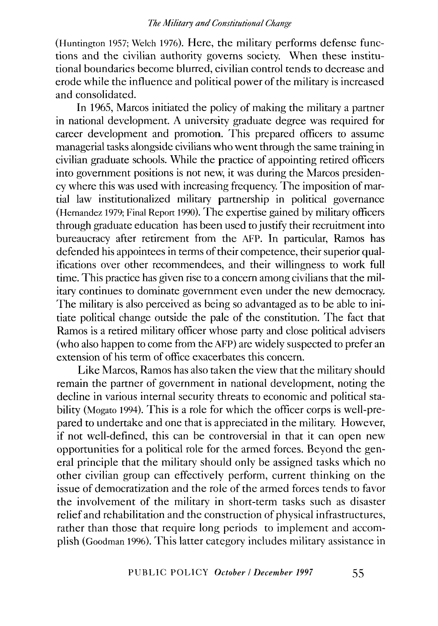(Huntington 1957; Welch 1976). Here, the military performs defense functions and the civilian authority governs society. When these institutional boundaries become blurred, civilian control tends to decrease and erode while the influence and political power of the military is increased and consolidated.

In 1965, Marcos initiated the policy of making the military a partner in national development. A university graduate degree was required for career development and promotion. This prepared officers to assume managerial tasks alongside civilians who went through the same training in civilian graduate schools. While the practice of appointing retired officers into government positions is not new, it was during the Marcos presidency where this was used with increasing frequency. The imposition of martial law institutionalized military partnership in political governance (Hernandez 1979; Final Report 1990). The expertise gained by military officers through graduate education has been used to justify their recruitment into bureaucracy after retirement from the AFP. In particular, Ramos has defended his appointees in terms of their competence, their superior qualifications over other recommendees, and their willingness to work full time. This practice has given rise to a concern among civilians that the military continues to dominate government even under the new democracy. The military is also perceived as being so advantaged as to be able to initiate political change outside the pale of the constitution. The fact that Ramos is a retired military officer whose party and close political advisers (who also happen to come from the AFP) are widely suspected to prefer an extension of his term of office exacerbates this concern.

Like Marcos, Ramos has also taken the view that the military should remain the partner of government in national development, noting the decline in various internal security threats to economic and political stability (Mogato 1994). This is a role for which the officer corps is well-prepared to undertake and one that is appreciated in the military. However, if not well-defined, this can be controversial in that it can open new opportunities for a political role for the armed forces. Beyond the general principle that the military should only be assigned tasks which no other civilian group can effectively perform, current thinking on the issue of democratization and the role of the armed forces tends to favor the involvement of the military in short-term tasks such as disaster relief and rehabilitation and the construction of physical infrastructures, rather than those that require long periods to implement and accomplish (Goodman 1996). This latter category includes military assistance in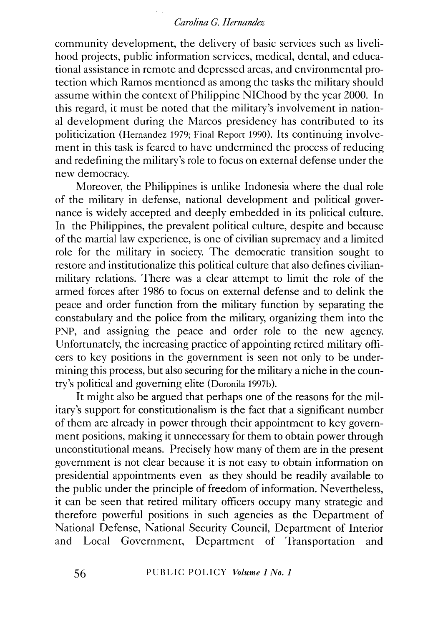community development, the delivery of basic services such as livelihood projects, public information services, medical, dental, and educational assistance in remote and depressed areas, and environmental protection which Ramos mentioned as among the tasks the military should assume within the context of Philippine NIChood by the year 2000. In this regard, it must be noted that the military's involvement in national development during the Marcos presidency has contributed to its politicization (Hernandez 1979; Final Report 1990). Its continuing involvement in this task is feared to have undermined the process of reducing and redefining the military's role to focus on external defense under the new democracy.

Moreover, the Philippines is unlike Indonesia where the dual role of the military in defense, national development and political governance is widely accepted and deeply embedded in its political culture. In the Philippines, the prevalent political culture, despite and because of the martial law experience, is one of civilian supremacy and a limited role for the military in society. The democratic transition sought to restore and institutionalize this political culture that also defines civilianmilitary relations. There was a clear attempt to limit the role of the armed forces after 1986 to focus on external defense and to delink the peace and order function from the military function by separating the constabulary and the police from the military, organizing them into the PNP, and assigning the peace and order role to the new agency. Unfortunately, the increasing practice of appointing retired military officers to key positions in the government is seen not only to be undermining this process, but also securing for the military a niche in the country's political and governing elite (Doronila 1997b).

It might also be argued that perhaps one of the reasons for the military's support for constitutionalism is the fact that a significant number of them are already in power through their appointment to key government positions, making it unnecessary for them to obtain power through unconstitutional means. Precisely how many of them are in the present government is not clear because it is not easy to obtain information on presidential appointments even as they should be readily available to the public under the principle of freedom of information. Nevertheless, it can be seen that retired military officers occupy many strategic and therefore powerful positions in such agencies as the Department of National Defense, National Security Council, Department of Interior and Local Government, Department of Transportation and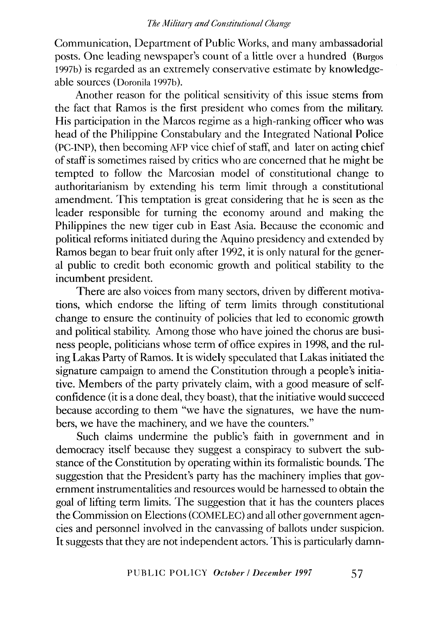Communication, Department of Public Works, and many ambassadorial posts. One leading newspaper's count of a little over a hundred (Burgos 1997b) is regarded as an extremely conservative estimate by knowledgeable sources (Doronila 1997b).

Another reason for the political sensitivity of this issue stems from the fact that Ramos is the first president who comes from the military. His participation in the Marcos regime as a high-ranking officer who was head of the Philippine Constabulary and the Integrated National Police (PC-INP), then becoming AFP vice chief of staff, and later on acting chief of staff is sometimes raised by critics who are concerned that he might be tempted to follow the Marcosian model of constitutional change to authoritarianism by extending his term limit through a constitutional amendment. This temptation is great considering that he is seen as the leader responsible for turning the economy around and making the Philippines the new tiger cub in East Asia. Because the economic and political reforms initiated during the Aquino presidency and extended by Ramos began to bear fruit only after 1992, it is only natural for the general public to credit both economic growth and political stability to the incumbent president.

There are also voices from many sectors, driven by different motivations, which endorse the lifting of term limits through constitutional change to ensure the continuity of policies that led to economic growth and political stability. Among those who have joined the chorus are business people, politicians whose term of office expires in 1998, and the ruling Lakas Party of Ramos. It is widely speculated that Lakas initiated the signature campaign to amend the Constitution through a people's initiative. Members of the party privately claim, with a good measure of selfconfidence (it is a done deal, they boast), that the initiative would succeed because according to them "we have the signatures, we have the numbers, we have the machinery, and we have the counters."

Such claims undermine the public's faith in government and in democracy itself because they suggest a conspiracy to subvert the substance of the Constitution by operating within its formalistic bounds. The suggestion that the President's party has the machinery implies that government instrumentalities and resources would be harnessed to obtain the goal of lifting term limits. The suggestion that it has the counters places the Commission on Elections (COMELEC) and all other government agencies and personnel involved in the canvassing of ballots under suspicion. It suggests that they are not independent actors. This is particularly damn-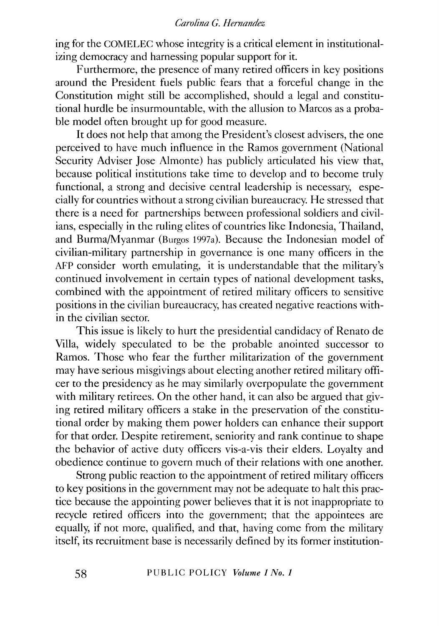ing for the COMELEC whose integrity is a critical element in institutionalizing democracy and harnessing popular support for it.

Furthermore, the presence of many retired officers in key positions around the President fuels public fears that a forceful change in the Constitution might still be accomplished, should a legal and constitutional hurdle be insurmountable, with the allusion to Marcos as a probable model often brought up for good measure.

It does not help that among the President's closest advisers, the one perceived to have much influence in the Ramos government (National Security Adviser Jose Almonte) has publicly articulated his view that, because political institutions take time to develop and to become truly functional, a strong and decisive central leadership is necessary, especially for countries without a strong civilian bureaucracy. He stressed that there is a need for partnerships between professional soldiers and civilians, especially in the ruling elites of countries like Indonesia, Thailand, and Burma/Myanmar (Burgos 1997a). Because the Indonesian model of civilian-military partnership in governance is one many officers in the AFP consider worth emulating, it is understandable that the military's continued involvement in certain types of national development tasks, combined with the appointment of retired military officers to sensitive positions in the civilian bureaucracy, has created negative reactions within the civilian sector.

This issue is likely to hurt the presidential candidacy of Renato de Villa, widely speculated to be the probable anointed successor to Ramos. Those who fear the further militarization of the government may have serious misgivings about electing another retired military officer to the presidency as he may similarly overpopulate the government with military retirees. On the other hand, it can also be argued that giving retired military officers a stake in the preservation of the constitutional order by making them power holders can enhance their support for that order. Despite retirement, seniority and rank continue to shape the behavior of active duty officers vis-a-vis their elders. Loyalty and obedience continue to govern much of their relations with one another.

Strong public reaction to the appointment of retired military officers to key positions in the government may not be adequate to halt this practice because the appointing power believes that it is not inappropriate to recycle retired officers into the government; that the appointees are equally, if not more, qualified, and that, having come from the military itself, its recruitment base is necessarily defined by its former institution-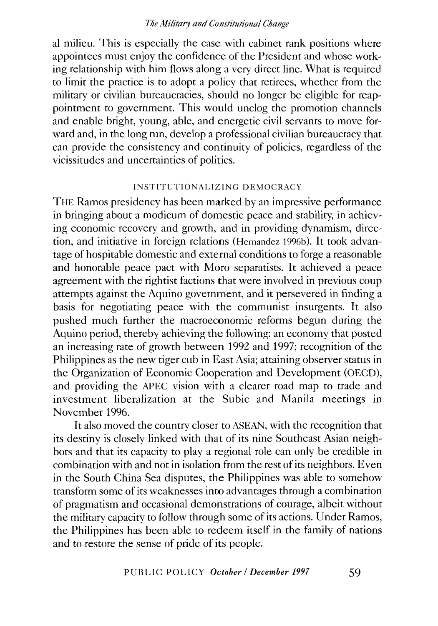al milieu. This is especially the case with cabinet rank positions where appointees must enjoy the confidence of the President and whose working relationship with him flows along a very direct line. What is required to limit the practice is to adopt a policy that retirees, whether from the military or civilian bureaucracies, should no longer be eligible for reappointment to government. This would unclog the promotion channels and enable bright, young, able, and energetic civil servants to move forward and, in the long run, develop a professional civilian bureaucracy that can provide the consistency and continuity of policies, regardless of the vicissitudes and uncertainties of politics.

#### INSTITUTIONALIZING DEMOCRACY

THE Ramos presidency has been marked by an impressive performance in bringing about a modicum of domestic peace and stability, in achieving economic recovery and growth, and in providing dynamism, direction, and initiative in foreign relations (Hernandez 1996b). It took advantage of hospitable domestic and external conditions to forge a reasonable and honorable peace pact with Moro separatists. It achieved a peace agreement with the rightist factions that were involved in previous coup attempts against the Aquino government, and it persevered in finding a basis for negotiating peace with the communist insurgents. It also pushed much further the macroeconomic reforms begun during the Aquino period, thereby achieving the following: an economy that posted an increasing rate of growth between 1992 and 1997; recognition of the Philippines as the new tiger cub in East Asia; attaining observer status in the Organization of Economic Cooperation and Development (OECD), and providing the APEC vision with a clearer road map to trade and investment liberalization at the Subic and Manila meetings in November 1996.

It also moved the country closer to ASEAN, with the recognition that its destiny is closely linked with that of its nine Southeast Asian neighbors and that its capacity to play a regional role can only be credible in combination with and not in isolation from the rest of its neighbors. Even in the South China Sea disputes, the Philippines was able to somehow transform some of its weaknesses into advantages through a combination of pragmatism and occasional demonstrations of courage, albeit without the military capacity to follow through some of its actions. Under Ramos, the Philippines has been able to redeem itself in the family of nations and to restore the sense of pride of its people.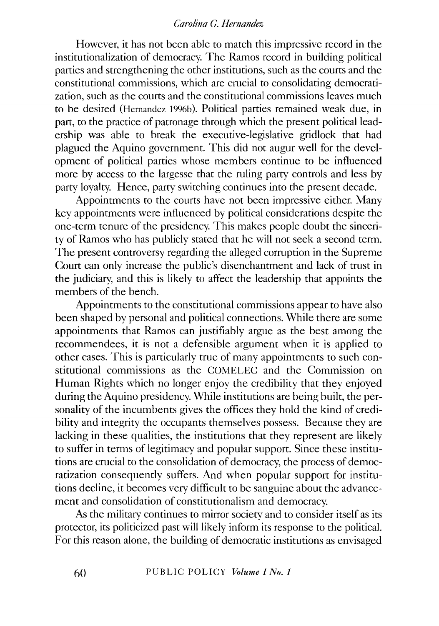However, it has not been able to match this impressive record in the institutionalization of democracy. The Ramos record in building political parties and strengthening the other institutions, such as the courts and the constitutional commissions, which are crucial to consolidating democratization, such as the courts and the constitutional commissions leaves much to be desired (Hernandez 1996b). Political parties remained weak due, in part, to the practice of patronage through which the present political leadership was able to break the executive-legislative gridlock that had plagued the Aquino government. This did not augur well for the development of political parties whose members continue to be influenced more by access to the largesse that the ruling party controls and less by party loyalty. Hence, party switching continues into the present decade.

Appointments to the courts have not been impressive either. Many key appointments were influenced by political considerations despite the one-term tenure of the presidency. This makes people doubt the sincerity of Ramos who has publicly stated that he will not seek a second term. The present controversy regarding the alleged corruption in the Supreme Court can only increase the public's disenchantment and lack of trust in the judiciary, and this is likely to affect the leadership that appoints the members of the bench.

Appointments to the constitutional commissions appear to have also been shaped by personal and political connections. While there are some appointments that Ramos can justifiably argue as the best among the recommendees, it is not a defensible argument when it is applied to other cases. This is particularly true of many appointments to such constitutional commissions as the COMELEC and the Commission on Human Rights which no longer enjoy the credibility that they enjoyed during the Aquino presidency. While institutions are being built, the personality of the incumbents gives the offices they hold the kind of credibility and integrity the occupants themselves possess. Because they are lacking in these qualities, the institutions that they represent are likely to suffer in terms of legitimacy and popular support. Since these institutions are crucial to the consolidation of democracy, the process of democratization consequently suffers. And when popular support for institutions decline, it becomes very difficult to be sanguine about the advancement and consolidation of constitutionalism and democracy.

As the military continues to mirror society and to consider itself as its protector, its politicized past will likely inform its response to the political. For this reason alone, the building of democratic institutions as envisaged